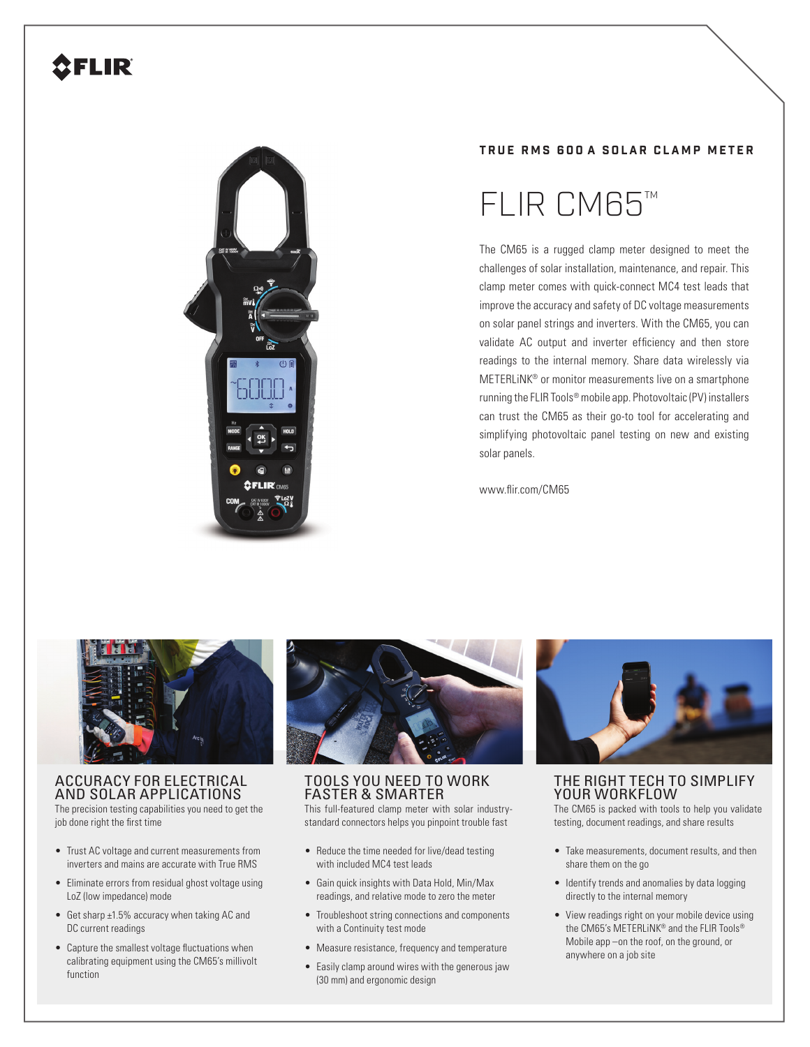# **CFLIR**



#### **T R U E R M S 6 0 0 A S O L A R C L A M P M E T E R**

# FLIR CM65™

The CM65 is a rugged clamp meter designed to meet the challenges of solar installation, maintenance, and repair. This clamp meter comes with quick-connect MC4 test leads that improve the accuracy and safety of DC voltage measurements on solar panel strings and inverters. With the CM65, you can validate AC output and inverter efficiency and then store readings to the internal memory. Share data wirelessly via METERLiNK® or monitor measurements live on a smartphone running the FLIR Tools® mobile app. Photovoltaic (PV) installers can trust the CM65 as their go-to tool for accelerating and simplifying photovoltaic panel testing on new and existing solar panels.

www.flir.com/CM65



### ACCURACY FOR ELECTRICAL AND SOLAR APPLICATIONS

The precision testing capabilities you need to get the job done right the first time

- Trust AC voltage and current measurements from inverters and mains are accurate with True RMS
- Eliminate errors from residual ghost voltage using LoZ (low impedance) mode
- Get sharp ±1.5% accuracy when taking AC and DC current readings
- Capture the smallest voltage fluctuations when calibrating equipment using the CM65's millivolt function



### TOOLS YOU NEED TO WORK FASTER & SMARTER

This full-featured clamp meter with solar industrystandard connectors helps you pinpoint trouble fast

- Reduce the time needed for live/dead testing with included MC4 test leads
- Gain quick insights with Data Hold, Min/Max readings, and relative mode to zero the meter
- Troubleshoot string connections and components with a Continuity test mode
- Measure resistance, frequency and temperature
- Easily clamp around wires with the generous jaw (30 mm) and ergonomic design



## THE RIGHT TECH TO SIMPLIFY YOUR WORKFLOW

The CM65 is packed with tools to help you validate testing, document readings, and share results

- Take measurements, document results, and then share them on the go
- Identify trends and anomalies by data logging directly to the internal memory
- View readings right on your mobile device using the CM65's METERLiNK® and the FLIR Tools® Mobile app –on the roof, on the ground, or anywhere on a job site